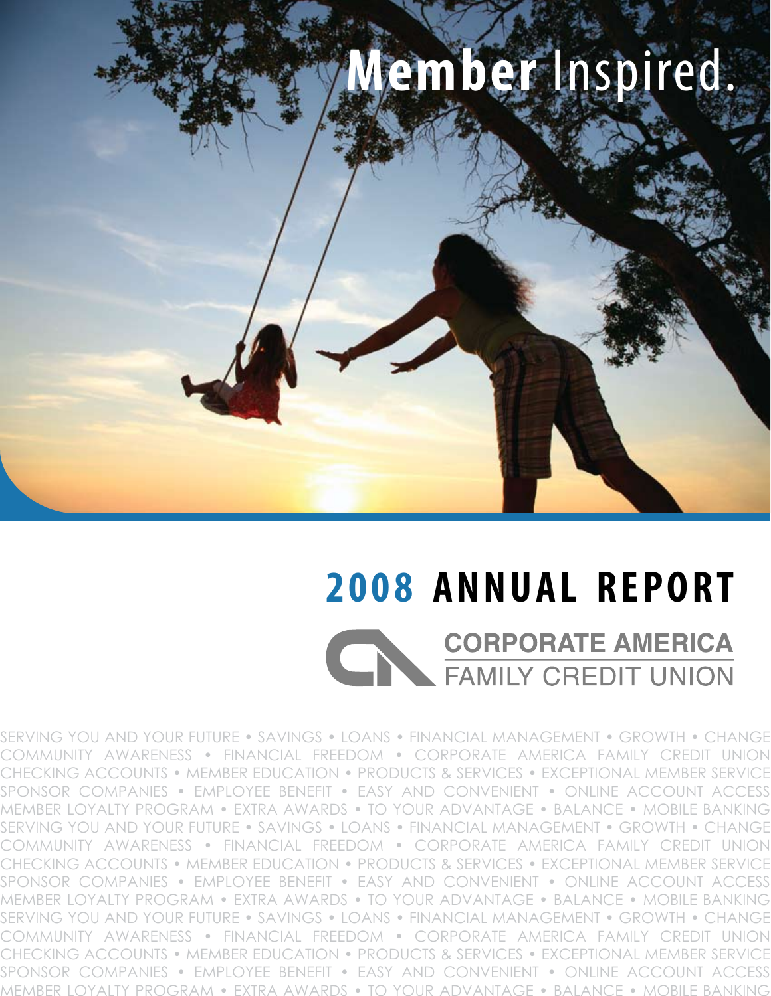

## **2008 ANNUAL REPORT CORPORATE AMERICA** FAMILY CREDIT UNION

SERVING YOU AND YOUR FUTURE • SAVINGS • LOANS • FINANCIAL MANAGEMENT • GROWTH • CHANGE COMMUNITY AWARENESS • FINANCIAL FREEDOM • CORPORATE AMERICA FAMILY CREDIT UNION CHECKING ACCOUNTS • MEMBER EDUCATION • PRODUCTS & SERVICES • EXCEPTIONAL MEMBER SERVICE SPONSOR COMPANIES • EMPLOYEE BENEFIT • EASY AND CONVENIENT • ONLINE ACCOUNT ACCESS MEMBER LOYALTY PROGRAM • EXTRA AWARDS • TO YOUR ADVANTAGE • BALANCE • MOBILE BANKING SERVING YOU AND YOUR FUTURE • SAVINGS • LOANS • FINANCIAL MANAGEMENT • GROWTH • CHANGE COMMUNITY AWARENESS • FINANCIAL FREEDOM • CORPORATE AMERICA FAMILY CREDIT UNION CHECKING ACCOUNTS • MEMBER EDUCATION • PRODUCTS & SERVICES • EXCEPTIONAL MEMBER SERVICE SPONSOR COMPANIES • EMPLOYEE BENEFIT • EASY AND CONVENIENT • ONLINE ACCOUNT ACCESS MEMBER LOYALTY PROGRAM • EXTRA AWARDS • TO YOUR ADVANTAGE • BALANCE • MOBILE BANKING SERVING YOU AND YOUR FUTURE • SAVINGS • LOANS • FINANCIAL MANAGEMENT • GROWTH • CHANGE COMMUNITY AWARENESS • FINANCIAL FREEDOM • CORPORATE AMERICA FAMILY CREDIT UNION CHECKING ACCOUNTS • MEMBER EDUCATION • PRODUCTS & SERVICES • EXCEPTIONAL MEMBER SERVICE SPONSOR COMPANIES • EMPLOYEE BENEFIT • EASY AND CONVENIENT • ONLINE ACCOUNT ACCESS MEMBER LOYALTY PROGRAM • EXTRA AWARDS • TO YOUR ADVANTAGE • BALANCE • MOBILE BANKING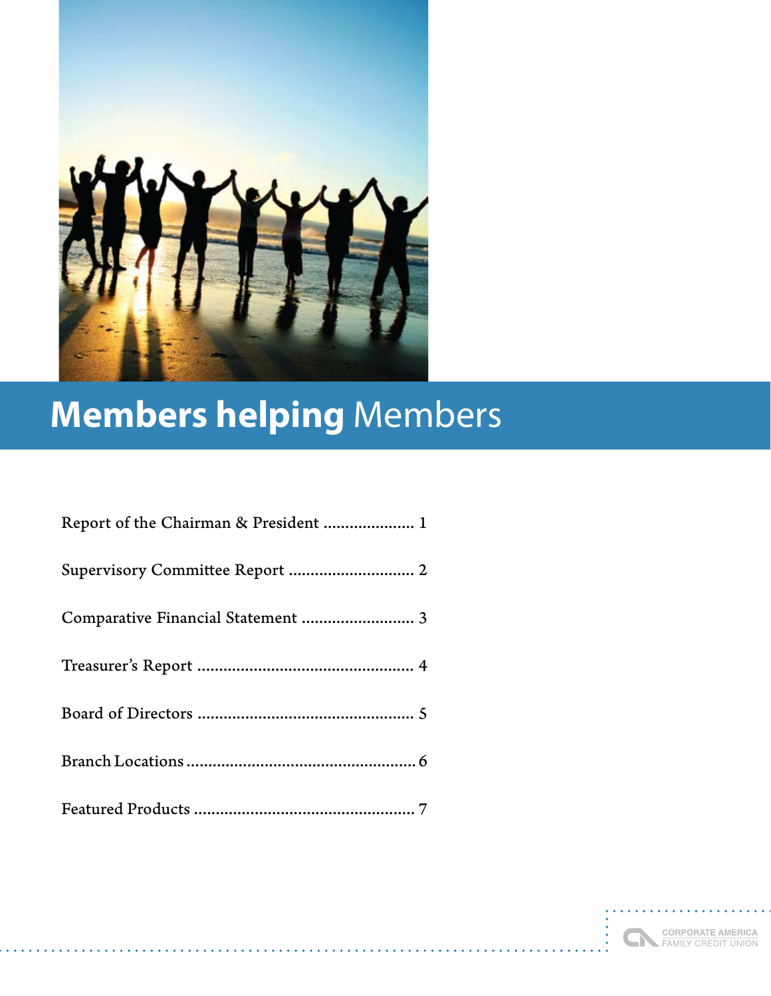

## **Members helping** Members

| Report of the Chairman & President  1 |
|---------------------------------------|
|                                       |
|                                       |
|                                       |
|                                       |
|                                       |
|                                       |

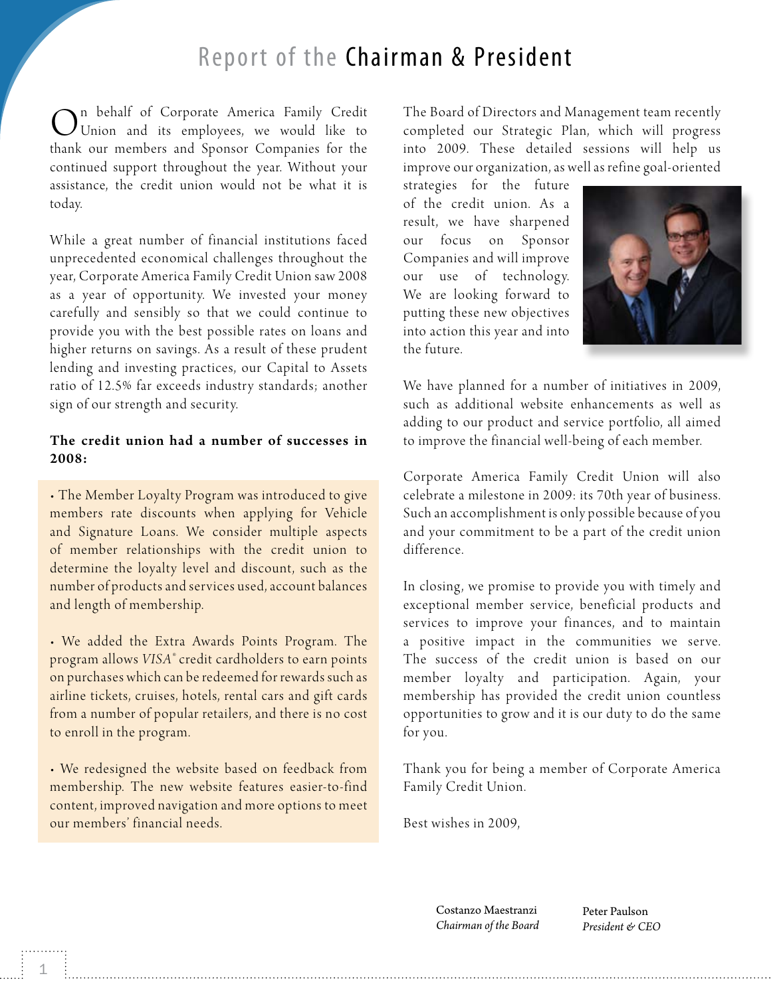#### Report of the Chairman & President

 $\bigodot$ <sup>n</sup> behalf of Corporate America Family Credit Union and its employees, we would like to thank our members and Sponsor Companies for the continued support throughout the year. Without your assistance, the credit union would not be what it is today.

W hile a great number of financial institutions faced unprecedented economical challenges throughout the year, Corporate America Family Credit Union saw 2008 as a year of opportunity. We invested your money carefully and sensibly so that we could continue to provide you with the best possible rates on loans and higher returns on savings. As a result of these prudent lending and investing practices, our Capital to Assets ratio of 12.5% far exceeds industry standards; another sign of our strength and security.

#### The credit union had a number of successes in 2008:

• The Member Loyalty Program was introduced to give members rate discounts when applying for Vehicle and Signature Loans. We consider multiple aspects of member relationships with the credit union to determine the loyalty level and discount, such as the number of products and ser vices used, account balances and length of membership.

• We added the Extra Awards Points Program. The program allows *VISA®* credit cardholders to earn points on purchases which can be redeemed for rewards such as airline tickets, cruises, hotels, rental cars and gift cards from a number of popular retailers, and there is no cost to enroll in the program.

• We redesigned the website based on feedback from membership. The new website features easier-to-find content, improved navigation and more options to meet our members' financial needs.

The Board of Directors and Management team recently completed our Strategic Plan, which will progress into 2009. These detailed sessions will help us improve our organization, as well as refine goal-oriented

strategies for the future of the credit union. As a result, we have sharpened our focus on Sponsor Companies and will improve our use of technology. We are looking for ward to putting these new objectives into action this year and into the future.



We have planned for a number of initiatives in 2009, such as additional website enhancements as well as adding to our product and service portfolio, all aimed to improve the financial well-being of each member.

Corporate America Family Credit Union will also celebrate a milestone in 2009: its 70th year of business. Such an accomplishment is only possible because of you and your commitment to be a part of the credit union difference.

In closing, we promise to provide you with timely and exceptional member ser vice, beneficial products and services to improve your finances, and to maintain a positive impact in the communities we serve. The success of the credit union is based on our member loyalty and participation. Again, your membership has provided the credit union countless opportunities to grow and it is our duty to do the same for you.

Thank you for being a member of Corporate America Family Credit Union.

Best wishes in 2009,

Costanzo Maestranzi *Chairman of the Board* Peter Paulson *President & CEO*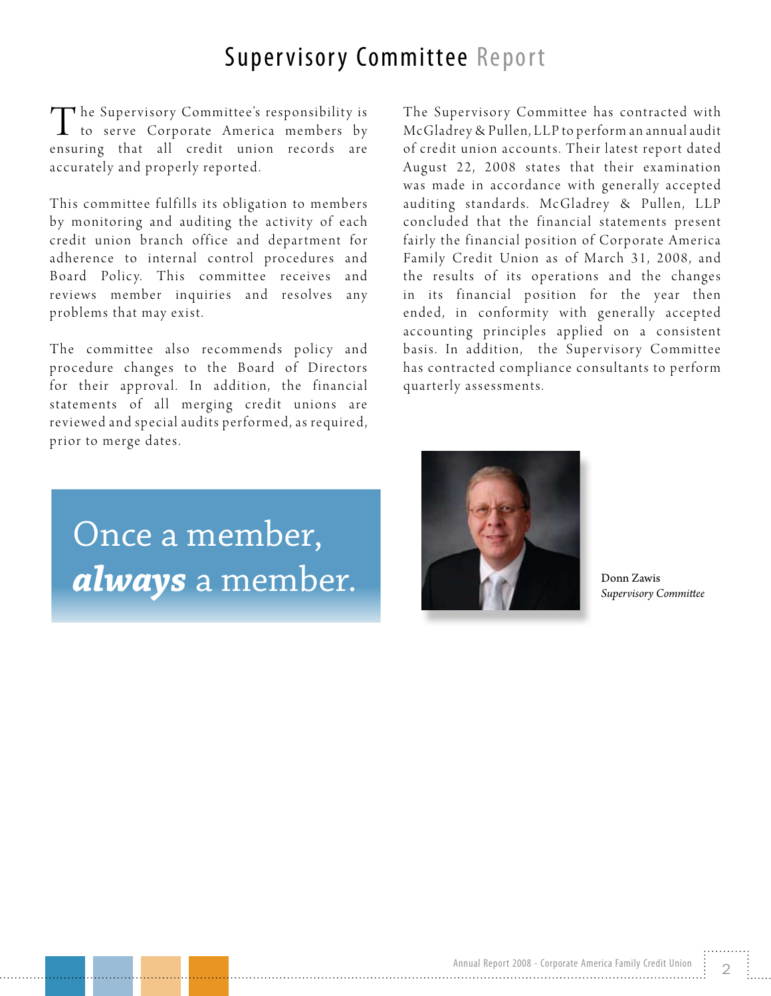#### Supervisory Committee Report

 $\sqcap$  he Supervisory Committee's responsibility is to serve Corporate America members by ensuring that all credit union records are accurately and properly reported.

This committee fulfills its obligation to members by monitoring and auditing the activity of each credit union branch office and department for adherence to internal control procedures and Board Policy. This committee receives and reviews member inquiries and resolves any problems that may exist.

The committee also recommends policy and procedure changes to the Board of Directors for their approval. In addition, the financial statements of all merging credit unions are reviewed and special audits performed, as required, prior to merge dates.

The Supervisory Committee has contracted with Mc Gladrey & Pullen, LLP to perform an annual audit of credit union accounts. Their latest report dated August 22, 2008 states that their examination was made in accordance with generally accepted auditing standards. McGladrey & Pullen, LLP concluded that the financial statements present fairly the financial position of Corporate America Family Credit Union as of March 31, 2008, and the results of its operations and the changes in its financial position for the year then ended, in conformity with generally accepted accounting principles applied on a consistent basis. In addition, the Supervisory Committee has contracted compliance consultants to perform quarterly assessments.

Once a member, *always* a member.



Donn Zawis *Supervisory Committee*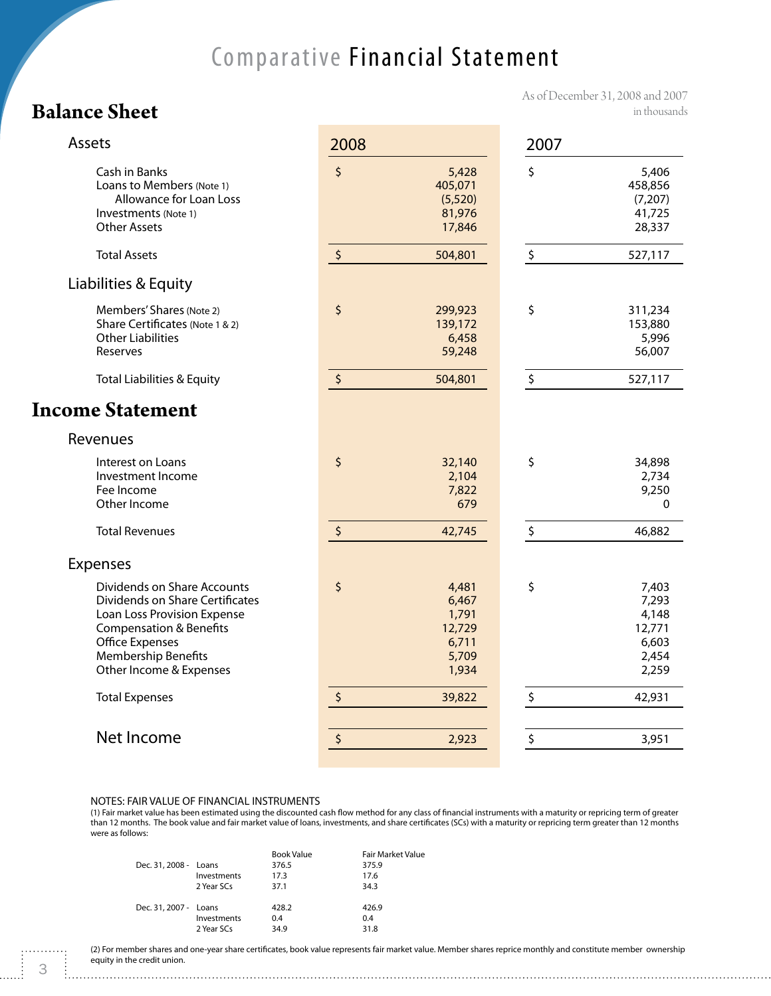#### Comparative Financial Statement

#### **Balance Sheet**

As of December 31, 2008 and 2007 in thousands

| Assets                                                                                                                                                                                                   | 2008                                                               | 2007                                                               |
|----------------------------------------------------------------------------------------------------------------------------------------------------------------------------------------------------------|--------------------------------------------------------------------|--------------------------------------------------------------------|
| Cash in Banks<br>Loans to Members (Note 1)<br>Allowance for Loan Loss<br>Investments (Note 1)<br><b>Other Assets</b>                                                                                     | $\zeta$<br>5,428<br>405,071<br>(5,520)<br>81,976<br>17,846         | \$<br>5,406<br>458,856<br>(7,207)<br>41,725<br>28,337              |
| <b>Total Assets</b>                                                                                                                                                                                      | $\boldsymbol{\zeta}$<br>504,801                                    | \$<br>527,117                                                      |
| Liabilities & Equity                                                                                                                                                                                     |                                                                    |                                                                    |
| Members' Shares (Note 2)<br>Share Certificates (Note 1 & 2)<br><b>Other Liabilities</b><br>Reserves                                                                                                      | \$<br>299,923<br>139,172<br>6,458<br>59,248                        | \$<br>311,234<br>153,880<br>5,996<br>56,007                        |
| <b>Total Liabilities &amp; Equity</b>                                                                                                                                                                    | $\boldsymbol{\zeta}$<br>504,801                                    | \$<br>527,117                                                      |
| <b>Income Statement</b>                                                                                                                                                                                  |                                                                    |                                                                    |
| Revenues                                                                                                                                                                                                 |                                                                    |                                                                    |
| Interest on Loans<br>Investment Income<br>Fee Income<br>Other Income                                                                                                                                     | \$<br>32,140<br>2,104<br>7,822<br>679                              | \$<br>34,898<br>2,734<br>9,250<br>0                                |
| <b>Total Revenues</b>                                                                                                                                                                                    | $\boldsymbol{\zeta}$<br>42,745                                     | \$<br>46,882                                                       |
| <b>Expenses</b>                                                                                                                                                                                          |                                                                    |                                                                    |
| Dividends on Share Accounts<br>Dividends on Share Certificates<br>Loan Loss Provision Expense<br><b>Compensation &amp; Benefits</b><br>Office Expenses<br>Membership Benefits<br>Other Income & Expenses | \$<br>4,481<br>6,467<br>1,791<br>12,729<br>6,711<br>5,709<br>1,934 | \$<br>7,403<br>7,293<br>4,148<br>12,771<br>6,603<br>2,454<br>2,259 |
| <b>Total Expenses</b>                                                                                                                                                                                    | $\boldsymbol{\zeta}$<br>39,822                                     | \$<br>42,931                                                       |
|                                                                                                                                                                                                          |                                                                    |                                                                    |
| Net Income                                                                                                                                                                                               | \$<br>2,923                                                        | \$<br>3,951                                                        |

#### NOTES: FAIR VALUE OF FINANCIAL INSTRUMENTS

(1) Fair market value has been estimated using the discounted cash flow method for any class of financial instruments with a maturity or repricing term of greater than 12 months. The book value and fair market value of loans, investments, and share certificates (SCs) with a maturity or repricing term greater than 12 months were as follows:

| Dec. 31, 2008 - Loans | Investments<br>2 Year SCs | <b>Book Value</b><br>376.5<br>17.3<br>37.1 | <b>Fair Market Value</b><br>375.9<br>17.6<br>34.3 |
|-----------------------|---------------------------|--------------------------------------------|---------------------------------------------------|
| Dec. 31, 2007 - Loans | Investments<br>2 Year SCs | 428.2<br>0.4<br>34.9                       | 426.9<br>0.4<br>31.8                              |

(2) For member shares and one-year share certificates, book value represents fair market value. Member shares reprice monthly and constitute member ownership equity in the credit union.

. . . . . . ..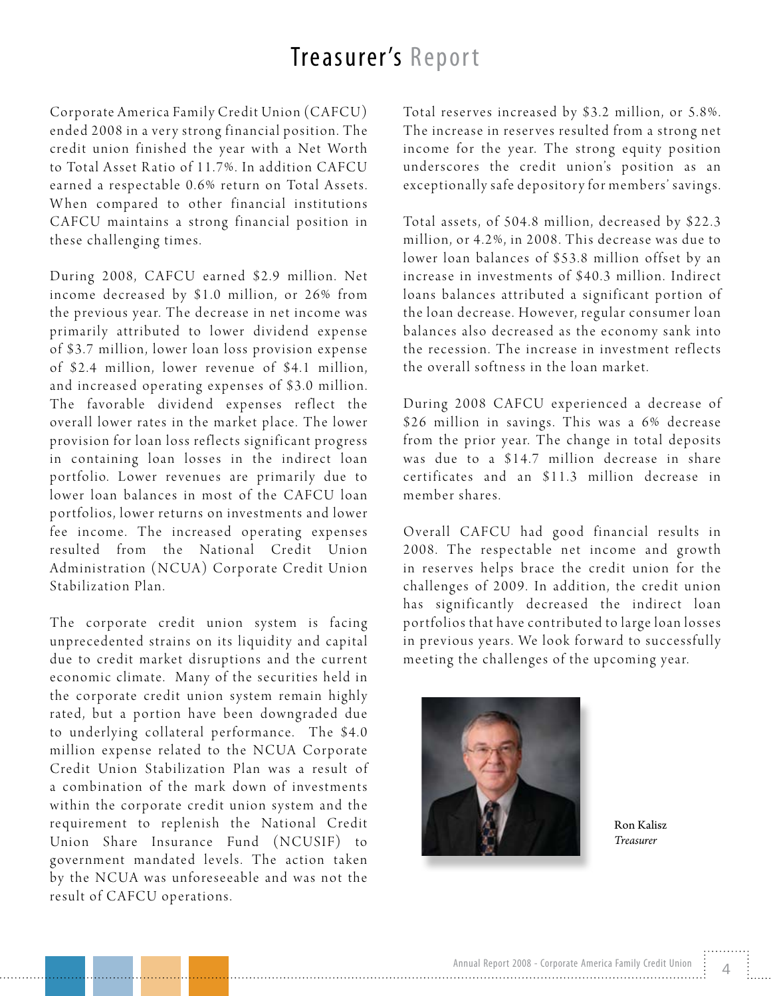#### Treasurer's Report

Corporate America Family Credit Union (CAFCU) ended 2008 in a very strong financial position. The credit union finished the year with a Net Worth to Total Asset Ratio of 11.7%. In addition CAFCU earned a respectable 0.6% return on Total Assets. When compared to other financial institutions CAFCU maintains a strong financial position in these challenging times.

During 2008, CAFCU earned \$2.9 million. Net in come decreased by \$1.0 million, or 26% from the previous year. The decrease in net income was primarily attributed to lower dividend expense of \$3.7 million, lower loan loss provision expense of \$2.4 million, lower revenue of \$4.1 million, and increased operating expenses of \$3.0 million. The favorable dividend expenses reflect the overall lower rates in the market place. The lower provision for loan loss reflects significant progress in containing loan losses in the indirect loan portfolio. Lower revenues are primarily due to lower loan balances in most of the CAFCU loan portfolios, lower returns on investments and lower fee income. The increased operating expenses resulted from the National Credit Union Administration (NCUA) Corporate Credit Union Stabilization Plan.

The corporate credit union system is facing unprecedented strains on its liquidity and capital due to credit market disruptions and the current economic climate. Many of the securities held in the corporate credit union system remain highly rated, but a portion have been downgraded due to underlying collateral performance. The \$4.0 million expense related to the NCUA Corporate Credit Union Stabilization Plan was a result of a combination of the mark down of investments within the corporate credit union system and the requirement to replenish the National Credit Union Share Insurance Fund (NCUSIF) to government mandated levels. The action taken by the NCUA was unforeseeable and was not the result of CAFCU operations.

Total reserves increased by \$3.2 million, or 5.8%. The increase in reserves resulted from a strong net income for the year. The strong equity position underscores the credit union's position as an exceptionally safe depository for members' savings.

Total assets, of 504.8 million, decreased by \$22.3 million, or 4.2%, in 2008. This decrease was due to lower loan balances of \$53.8 million offset by an increase in investments of \$40.3 million. Indirect loans balances attributed a significant portion of the loan decrease. However, regular consumer loan balances also decreased as the economy sank into the recession. The increase in investment reflects the overall softness in the loan market.

During 2008 CAFCU experienced a decrease of \$26 million in savings. This was a 6% decrease from the prior year. The change in total deposits was due to a \$14.7 million decrease in share certificates and an \$11.3 million decrease in member shares.

Overall CAFCU had good financial results in 2008. The respectable net income and growth in reserves helps brace the credit union for the challenges of 2009. In addition, the credit union has significantly decreased the indirect loan p or t folios that have contributed to large loan losses in previous years. We look forward to successfully meeting the challenges of the upcoming year.



Ron Kalisz *Treasurer*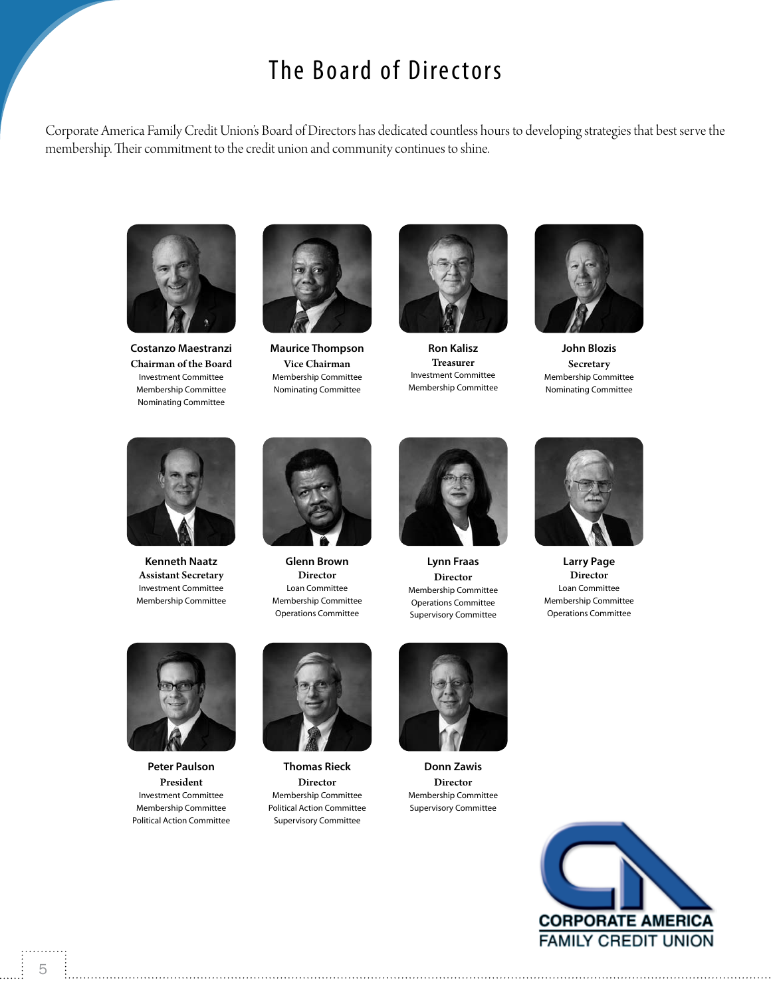#### The Board of Directors

Corporate America Family Credit Union's Board of Directors has dedicated countless hours to developing strategies that best serve the membership. Their commitment to the credit union and community continues to shine.



**Costanzo Maestranzi** Chairman of the Board Investment Committee Membership Committee Nominating Committee



**Maurice Thompson** Vice Chairman Membership Committee Nominating Committee



**Ron Kalisz** Treasurer Investment Committee Membership Committee



**John Blozis Secretary** Membership Committee Nominating Committee



**Kenneth Naatz** Assistant Secretary Investment Committee Membership Committee



**Glenn Brown** Director Loan Committee Membership Committee Operations Committee



**Lynn Fraas** Director Membership Committee Operations Committee Supervisory Committee



**Larry Page** Director Loan Committee Membership Committee Operations Committee



**Peter Paulson** President Investment Committee Membership Committee Political Action Committee



**Thomas Rieck** Director Membership Committee Political Action Committee Supervisory Committee



**Donn Zawis** Director Membership Committee Supervisory Committee

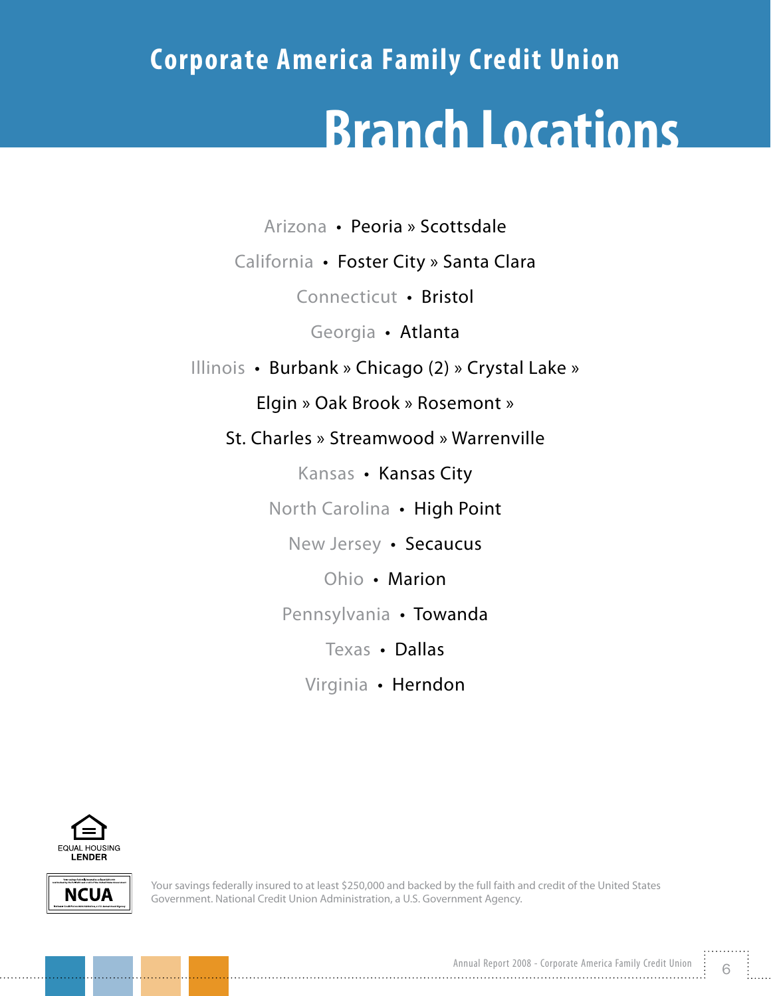# **Corporate America Family Credit Union Branch Locations**

Arizona • Peoria » Scottsdale

California • Foster City » Santa Clara

Connecticut • Bristol

Georgia • Atlanta

Illinois • Burbank » Chicago (2) » Crystal Lake »

Elgin » Oak Brook » Rosemont »

St. Charles » Streamwood » Warrenville

Kansas • Kansas City

North Carolina • High Point

New Jersey • Secaucus

Ohio • Marion

Pennsylvania • Towanda

Texas • Dallas

Virginia • Herndon





Your savings federally insured to at least \$250,000 and backed by the full faith and credit of the United States Government. National Credit Union Administration, a U.S. Government Agency.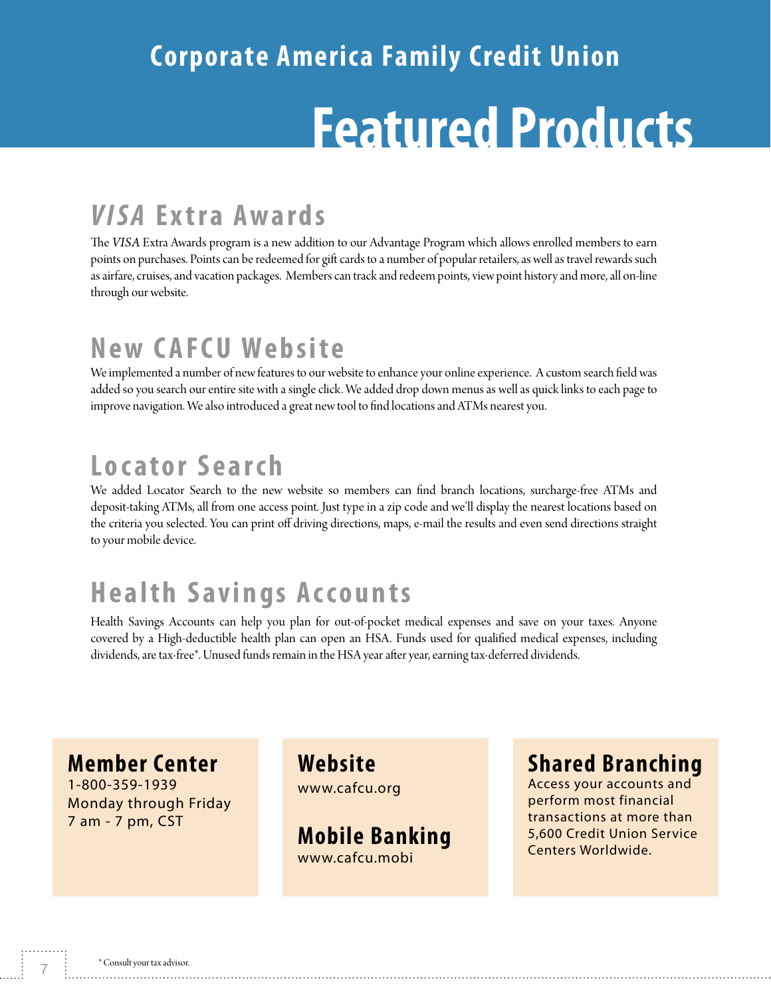# **Corporate America Family Credit Union Featured Products**

### *VISA* **Extra Awards**

The *VISA* Extra Awards program is a new addition to our Advantage Program which allows enrolled members to earn points on purchases. Points can be redeemed for gift cards to a number of popular retailers, as well as travel rewards such as airfare, cruises, and vacation packages. Members can track and redeem points, view point history and more, all on-line through our website.

#### **New CAFCU Website**

We implemented a number of new features to our website to enhance your online experience. A custom search field was added so you search our entire site with a single click. We added drop down menus as well as quick links to each page to improve navigation. We also introduced a great new tool to find locations and ATMs nearest you.

#### **Locator Search**

We added Locator Search to the new website so members can find branch locations, surcharge-free ATMs and deposit-taking ATMs, all from one access point. Just type in a zip code and we'll display the nearest locations based on the criteria you selected. You can print off driving directions, maps, e-mail the results and even send directions straight to your mobile device.

### **Health Savings Accounts**

Health Savings Accounts can help you plan for out-of-pocket medical expenses and save on your taxes. Anyone covered by a High-deductible health plan can open an HSA. Funds used for qualified medical expenses, including dividends, are tax-free\*. Unused funds remain in the HSA year after year, earning tax-deferred dividends.

#### **Member Center**

1-800-359-1939 Monday through Friday 7 am - 7 pm, CST

**Website** www.cafcu.org

**Mobile Banking** www.cafcu.mobi

#### **Shared Branching**

Access your accounts and perform most financial transactions at more than 5,600 Credit Union Service Centers Worldwide.

7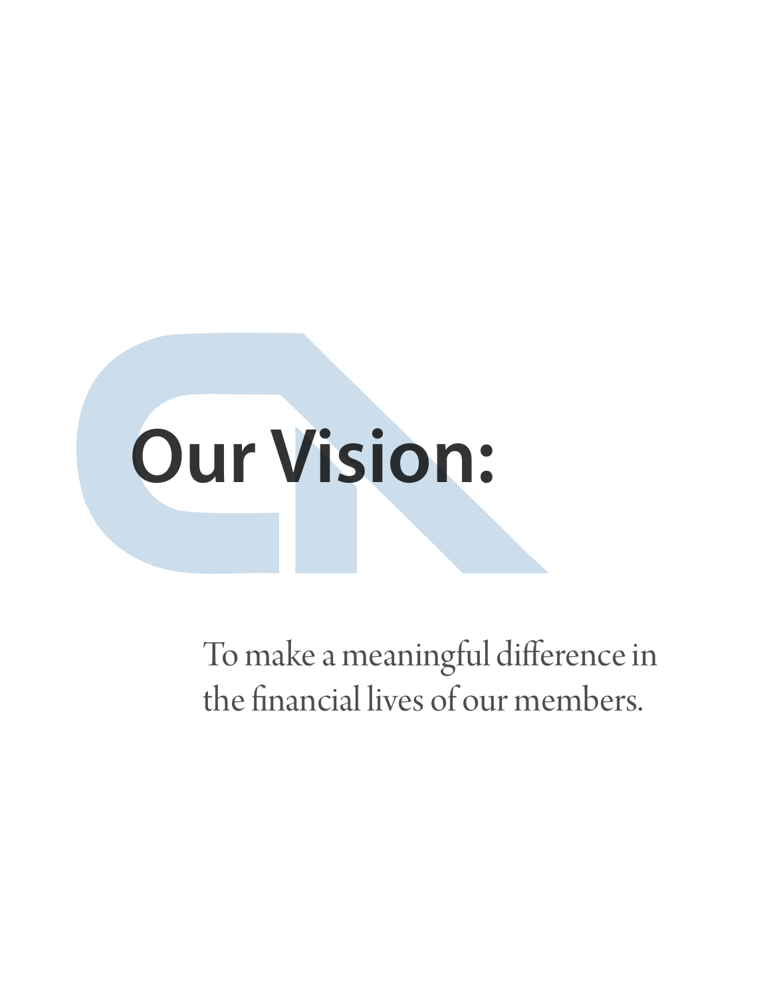

To make a meaningful difference in the financial lives of our members.